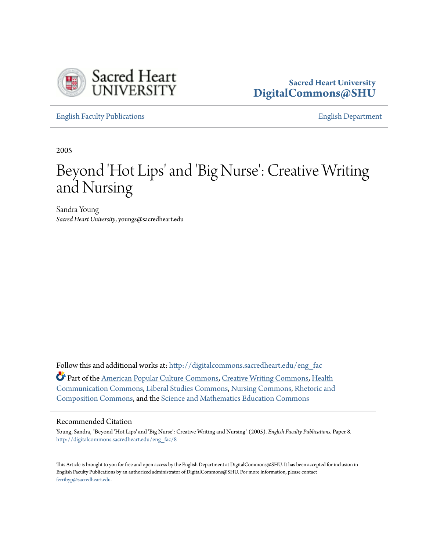

### **Sacred Heart University [DigitalCommons@SHU](http://digitalcommons.sacredheart.edu?utm_source=digitalcommons.sacredheart.edu%2Feng_fac%2F8&utm_medium=PDF&utm_campaign=PDFCoverPages)**

[English Faculty Publications](http://digitalcommons.sacredheart.edu/eng_fac?utm_source=digitalcommons.sacredheart.edu%2Feng_fac%2F8&utm_medium=PDF&utm_campaign=PDFCoverPages) [English Department](http://digitalcommons.sacredheart.edu/eng?utm_source=digitalcommons.sacredheart.edu%2Feng_fac%2F8&utm_medium=PDF&utm_campaign=PDFCoverPages)

2005

# Beyond 'Hot Lips' and 'Big Nurse': Creative Writing and Nursing

Sandra Young *Sacred Heart University*, youngs@sacredheart.edu

Follow this and additional works at: [http://digitalcommons.sacredheart.edu/eng\\_fac](http://digitalcommons.sacredheart.edu/eng_fac?utm_source=digitalcommons.sacredheart.edu%2Feng_fac%2F8&utm_medium=PDF&utm_campaign=PDFCoverPages) Part of the [American Popular Culture Commons](http://network.bepress.com/hgg/discipline/443?utm_source=digitalcommons.sacredheart.edu%2Feng_fac%2F8&utm_medium=PDF&utm_campaign=PDFCoverPages), [Creative Writing Commons](http://network.bepress.com/hgg/discipline/574?utm_source=digitalcommons.sacredheart.edu%2Feng_fac%2F8&utm_medium=PDF&utm_campaign=PDFCoverPages), [Health](http://network.bepress.com/hgg/discipline/330?utm_source=digitalcommons.sacredheart.edu%2Feng_fac%2F8&utm_medium=PDF&utm_campaign=PDFCoverPages) [Communication Commons,](http://network.bepress.com/hgg/discipline/330?utm_source=digitalcommons.sacredheart.edu%2Feng_fac%2F8&utm_medium=PDF&utm_campaign=PDFCoverPages) [Liberal Studies Commons,](http://network.bepress.com/hgg/discipline/1042?utm_source=digitalcommons.sacredheart.edu%2Feng_fac%2F8&utm_medium=PDF&utm_campaign=PDFCoverPages) [Nursing Commons,](http://network.bepress.com/hgg/discipline/718?utm_source=digitalcommons.sacredheart.edu%2Feng_fac%2F8&utm_medium=PDF&utm_campaign=PDFCoverPages) [Rhetoric and](http://network.bepress.com/hgg/discipline/573?utm_source=digitalcommons.sacredheart.edu%2Feng_fac%2F8&utm_medium=PDF&utm_campaign=PDFCoverPages) [Composition Commons](http://network.bepress.com/hgg/discipline/573?utm_source=digitalcommons.sacredheart.edu%2Feng_fac%2F8&utm_medium=PDF&utm_campaign=PDFCoverPages), and the [Science and Mathematics Education Commons](http://network.bepress.com/hgg/discipline/800?utm_source=digitalcommons.sacredheart.edu%2Feng_fac%2F8&utm_medium=PDF&utm_campaign=PDFCoverPages)

#### Recommended Citation

Young, Sandra, "Beyond 'Hot Lips' and 'Big Nurse': Creative Writing and Nursing" (2005). *English Faculty Publications.* Paper 8. [http://digitalcommons.sacredheart.edu/eng\\_fac/8](http://digitalcommons.sacredheart.edu/eng_fac/8?utm_source=digitalcommons.sacredheart.edu%2Feng_fac%2F8&utm_medium=PDF&utm_campaign=PDFCoverPages)

This Article is brought to you for free and open access by the English Department at DigitalCommons@SHU. It has been accepted for inclusion in English Faculty Publications by an authorized administrator of DigitalCommons@SHU. For more information, please contact [ferribyp@sacredheart.edu](mailto:ferribyp@sacredheart.edu).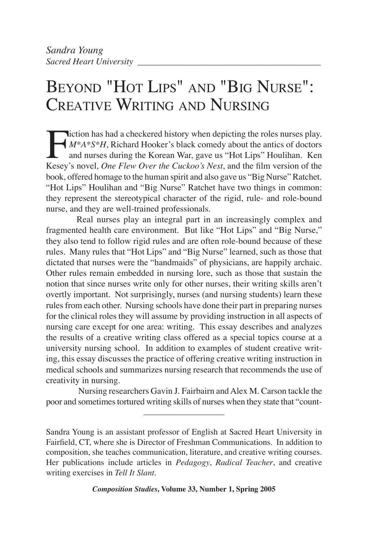## BEYOND "HOT LIPS" AND "BIG NURSE": CREATIVE WRITING AND NURSING

I iction has had a checkered history when depicting the roles nurses play.<br>  $M^*A^*S^*H$ , Richard Hooker's black comedy about the antics of doctors<br>
and nurses during the Korean War, gave us "Hot Lips" Houlihan. Ken<br>
Kesev *M\*A\*S\*H*, Richard Hooker's black comedy about the antics of doctors and nurses during the Korean War, gave us "Hot Lips" Houlihan. Ken Kesey's novel, *One Flew Over the Cuckoo's Nest*, and the film version of the book, offered homage to the human spirit and also gave us "Big Nurse" Ratchet. "Hot Lips" Houlihan and "Big Nurse" Ratchet have two things in common: they represent the stereotypical character of the rigid, rule- and role-bound nurse, and they are well-trained professionals.

Real nurses play an integral part in an increasingly complex and fragmented health care environment. But like "Hot Lips" and "Big Nurse," they also tend to follow rigid rules and are often role-bound because of these rules. Many rules that "Hot Lips" and "Big Nurse" learned, such as those that dictated that nurses were the "handmaids" of physicians, are happily archaic. Other rules remain embedded in nursing lore, such as those that sustain the notion that since nurses write only for other nurses, their writing skills aren't overtly important. Not surprisingly, nurses (and nursing students) learn these rules from each other. Nursing schools have done their part in preparing nurses for the clinical roles they will assume by providing instruction in all aspects of nursing care except for one area: writing. This essay describes and analyzes the results of a creative writing class offered as a special topics course at a university nursing school. In addition to examples of student creative writing, this essay discusses the practice of offering creative writing instruction in medical schools and summarizes nursing research that recommends the use of creativity in nursing.

\_\_\_\_\_\_\_\_\_\_\_\_\_\_\_\_\_\_\_ Nursing researchers Gavin J. Fairbairn and Alex M. Carson tackle the poor and sometimes tortured writing skills of nurses when they state that "count-

Sandra Young is an assistant professor of English at Sacred Heart University in Fairfield, CT, where she is Director of Freshman Communications. In addition to composition, she teaches communication, literature, and creative writing courses. Her publications include articles in *Pedagogy*, *Radical Teacher*, and creative writing exercises in *Tell It Slant*.

*Composition Studies***, Volume 33, Number 1, Spring 2005**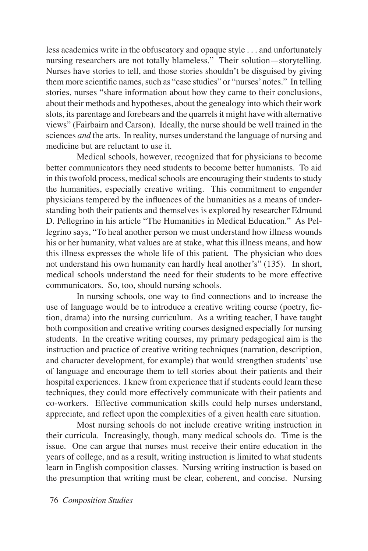less academics write in the obfuscatory and opaque style . . . and unfortunately nursing researchers are not totally blameless." Their solution—storytelling. Nurses have stories to tell, and those stories shouldn't be disguised by giving them more scientific names, such as "case studies" or "nurses' notes." In telling stories, nurses "share information about how they came to their conclusions, about their methods and hypotheses, about the genealogy into which their work slots, its parentage and forebears and the quarrels it might have with alternative views" (Fairbairn and Carson). Ideally, the nurse should be well trained in the sciences *and* the arts. In reality, nurses understand the language of nursing and medicine but are reluctant to use it.

Medical schools, however, recognized that for physicians to become better communicators they need students to become better humanists. To aid in this twofold process, medical schools are encouraging their students to study the humanities, especially creative writing. This commitment to engender physicians tempered by the influences of the humanities as a means of understanding both their patients and themselves is explored by researcher Edmund D. Pellegrino in his article "The Humanities in Medical Education." As Pellegrino says, "To heal another person we must understand how illness wounds his or her humanity, what values are at stake, what this illness means, and how this illness expresses the whole life of this patient. The physician who does not understand his own humanity can hardly heal another's" (135). In short, medical schools understand the need for their students to be more effective communicators. So, too, should nursing schools.

In nursing schools, one way to find connections and to increase the use of language would be to introduce a creative writing course (poetry, fiction, drama) into the nursing curriculum. As a writing teacher, I have taught both composition and creative writing courses designed especially for nursing students. In the creative writing courses, my primary pedagogical aim is the instruction and practice of creative writing techniques (narration, description, and character development, for example) that would strengthen students' use of language and encourage them to tell stories about their patients and their hospital experiences. I knew from experience that if students could learn these techniques, they could more effectively communicate with their patients and co-workers. Effective communication skills could help nurses understand, appreciate, and reflect upon the complexities of a given health care situation.

Most nursing schools do not include creative writing instruction in their curricula. Increasingly, though, many medical schools do. Time is the issue. One can argue that nurses must receive their entire education in the years of college, and as a result, writing instruction is limited to what students learn in English composition classes. Nursing writing instruction is based on the presumption that writing must be clear, coherent, and concise. Nursing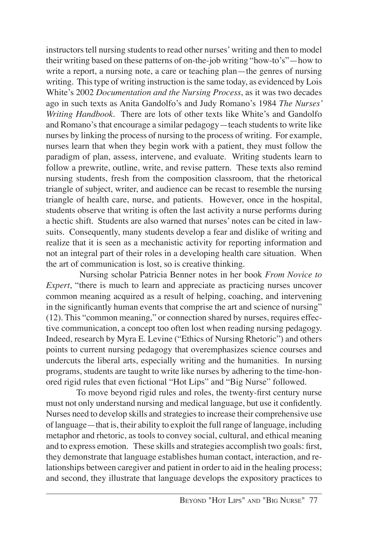instructors tell nursing students to read other nurses' writing and then to model their writing based on these patterns of on-the-job writing "how-to's"—how to write a report, a nursing note, a care or teaching plan—the genres of nursing writing. This type of writing instruction is the same today, as evidenced by Lois White's 2002 *Documentation and the Nursing Process*, as it was two decades ago in such texts as Anita Gandolfo's and Judy Romano's 1984 *The Nurses' Writing Handbook*. There are lots of other texts like White's and Gandolfo and Romano's that encourage a similar pedagogy—teach students to write like nurses by linking the process of nursing to the process of writing. For example, nurses learn that when they begin work with a patient, they must follow the paradigm of plan, assess, intervene, and evaluate. Writing students learn to follow a prewrite, outline, write, and revise pattern. These texts also remind nursing students, fresh from the composition classroom, that the rhetorical triangle of subject, writer, and audience can be recast to resemble the nursing triangle of health care, nurse, and patients. However, once in the hospital, students observe that writing is often the last activity a nurse performs during a hectic shift. Students are also warned that nurses' notes can be cited in lawsuits. Consequently, many students develop a fear and dislike of writing and realize that it is seen as a mechanistic activity for reporting information and not an integral part of their roles in a developing health care situation. When the art of communication is lost, so is creative thinking.

 Nursing scholar Patricia Benner notes in her book *From Novice to Expert*, "there is much to learn and appreciate as practicing nurses uncover common meaning acquired as a result of helping, coaching, and intervening in the significantly human events that comprise the art and science of nursing" (12). This "common meaning," or connection shared by nurses, requires effective communication, a concept too often lost when reading nursing pedagogy. Indeed, research by Myra E. Levine ("Ethics of Nursing Rhetoric") and others points to current nursing pedagogy that overemphasizes science courses and undercuts the liberal arts, especially writing and the humanities. In nursing programs, students are taught to write like nurses by adhering to the time-honored rigid rules that even fictional "Hot Lips" and "Big Nurse" followed.

To move beyond rigid rules and roles, the twenty-first century nurse must not only understand nursing and medical language, but use it confidently. Nurses need to develop skills and strategies to increase their comprehensive use of language—that is, their ability to exploit the full range of language, including metaphor and rhetoric, as tools to convey social, cultural, and ethical meaning and to express emotion. These skills and strategies accomplish two goals: first, they demonstrate that language establishes human contact, interaction, and relationships between caregiver and patient in order to aid in the healing process; and second, they illustrate that language develops the expository practices to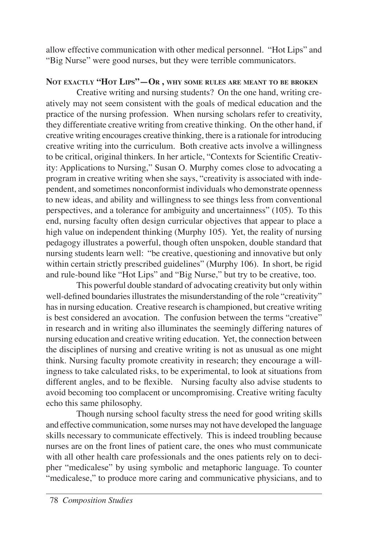allow effective communication with other medical personnel. "Hot Lips" and "Big Nurse" were good nurses, but they were terrible communicators.

#### **NOT EXACTLY "HOT LIPS"—OR , WHY SOME RULES ARE MEANT TO BE BROKEN**

Creative writing and nursing students? On the one hand, writing creatively may not seem consistent with the goals of medical education and the practice of the nursing profession. When nursing scholars refer to creativity, they differentiate creative writing from creative thinking. On the other hand, if creative writing encourages creative thinking, there is a rationale for introducing creative writing into the curriculum. Both creative acts involve a willingness to be critical, original thinkers. In her article, "Contexts for Scientific Creativity: Applications to Nursing," Susan O. Murphy comes close to advocating a program in creative writing when she says, "creativity is associated with independent, and sometimes nonconformist individuals who demonstrate openness to new ideas, and ability and willingness to see things less from conventional perspectives, and a tolerance for ambiguity and uncertainness" (105). To this end, nursing faculty often design curricular objectives that appear to place a high value on independent thinking (Murphy 105). Yet, the reality of nursing pedagogy illustrates a powerful, though often unspoken, double standard that nursing students learn well: "be creative, questioning and innovative but only within certain strictly prescribed guidelines" (Murphy 106). In short, be rigid and rule-bound like "Hot Lips" and "Big Nurse," but try to be creative, too.

This powerful double standard of advocating creativity but only within well-defined boundaries illustrates the misunderstanding of the role "creativity" has in nursing education. Creative research is championed, but creative writing is best considered an avocation. The confusion between the terms "creative" in research and in writing also illuminates the seemingly differing natures of nursing education and creative writing education. Yet, the connection between the disciplines of nursing and creative writing is not as unusual as one might think. Nursing faculty promote creativity in research; they encourage a willingness to take calculated risks, to be experimental, to look at situations from different angles, and to be flexible. Nursing faculty also advise students to avoid becoming too complacent or uncompromising. Creative writing faculty echo this same philosophy.

Though nursing school faculty stress the need for good writing skills and effective communication, some nurses may not have developed the language skills necessary to communicate effectively. This is indeed troubling because nurses are on the front lines of patient care, the ones who must communicate with all other health care professionals and the ones patients rely on to decipher "medicalese" by using symbolic and metaphoric language. To counter "medicalese," to produce more caring and communicative physicians, and to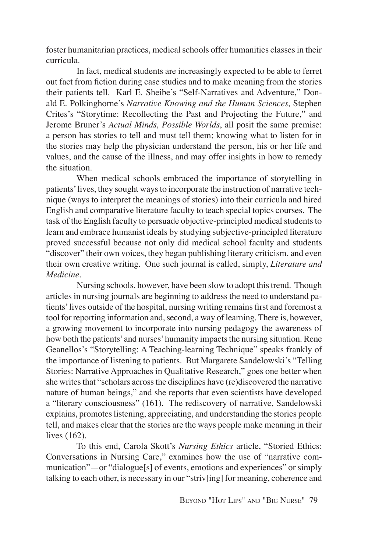foster humanitarian practices, medical schools offer humanities classes in their curricula.

In fact, medical students are increasingly expected to be able to ferret out fact from fiction during case studies and to make meaning from the stories their patients tell. Karl E. Sheibe's "Self-Narratives and Adventure," Donald E. Polkinghorne's *Narrative Knowing and the Human Sciences,* Stephen Crites's "Storytime: Recollecting the Past and Projecting the Future," and Jerome Bruner's *Actual Minds, Possible Worlds*, all posit the same premise: a person has stories to tell and must tell them; knowing what to listen for in the stories may help the physician understand the person, his or her life and values, and the cause of the illness, and may offer insights in how to remedy the situation.

When medical schools embraced the importance of storytelling in patients' lives, they sought ways to incorporate the instruction of narrative technique (ways to interpret the meanings of stories) into their curricula and hired English and comparative literature faculty to teach special topics courses. The task of the English faculty to persuade objective-principled medical students to learn and embrace humanist ideals by studying subjective-principled literature proved successful because not only did medical school faculty and students "discover" their own voices, they began publishing literary criticism, and even their own creative writing. One such journal is called, simply, *Literature and Medicine.*

Nursing schools, however, have been slow to adopt this trend. Though articles in nursing journals are beginning to address the need to understand patients' lives outside of the hospital, nursing writing remains first and foremost a tool for reporting information and, second, a way of learning. There is, however, a growing movement to incorporate into nursing pedagogy the awareness of how both the patients' and nurses' humanity impacts the nursing situation. Rene Geanellos's "Storytelling: A Teaching-learning Technique" speaks frankly of the importance of listening to patients. But Margarete Sandelowski's "Telling Stories: Narrative Approaches in Qualitative Research," goes one better when she writes that "scholars across the disciplines have (re)discovered the narrative nature of human beings," and she reports that even scientists have developed a "literary consciousness" (161). The rediscovery of narrative, Sandelowski explains, promotes listening, appreciating, and understanding the stories people tell, and makes clear that the stories are the ways people make meaning in their lives (162).

To this end, Carola Skott's *Nursing Ethics* article, "Storied Ethics: Conversations in Nursing Care," examines how the use of "narrative communication"—or "dialogue[s] of events, emotions and experiences" or simply talking to each other, is necessary in our "striv[ing] for meaning, coherence and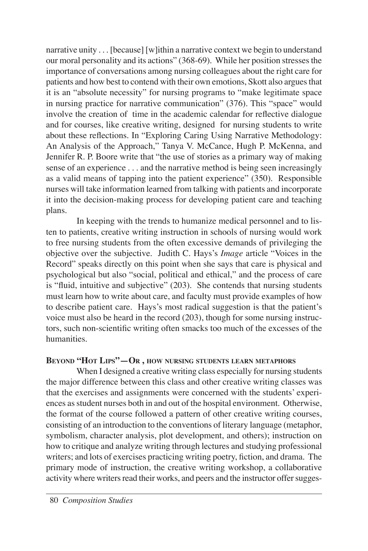narrative unity . . . [because] [w]ithin a narrative context we begin to understand our moral personality and its actions" (368-69). While her position stresses the importance of conversations among nursing colleagues about the right care for patients and how best to contend with their own emotions, Skott also argues that it is an "absolute necessity" for nursing programs to "make legitimate space in nursing practice for narrative communication" (376). This "space" would involve the creation of time in the academic calendar for reflective dialogue and for courses, like creative writing, designed for nursing students to write about these reflections. In "Exploring Caring Using Narrative Methodology: An Analysis of the Approach," Tanya V. McCance, Hugh P. McKenna, and Jennifer R. P. Boore write that "the use of stories as a primary way of making sense of an experience . . . and the narrative method is being seen increasingly as a valid means of tapping into the patient experience" (350). Responsible nurses will take information learned from talking with patients and incorporate it into the decision-making process for developing patient care and teaching plans.

In keeping with the trends to humanize medical personnel and to listen to patients, creative writing instruction in schools of nursing would work to free nursing students from the often excessive demands of privileging the objective over the subjective. Judith C. Hays's *Image* article "Voices in the Record" speaks directly on this point when she says that care is physical and psychological but also "social, political and ethical," and the process of care is "fluid, intuitive and subjective" (203). She contends that nursing students must learn how to write about care, and faculty must provide examples of how to describe patient care. Hays's most radical suggestion is that the patient's voice must also be heard in the record (203), though for some nursing instructors, such non-scientific writing often smacks too much of the excesses of the humanities.

#### **BEYOND "HOT LIPS"—OR , HOW NURSING STUDENTS LEARN METAPHORS**

When I designed a creative writing class especially for nursing students the major difference between this class and other creative writing classes was that the exercises and assignments were concerned with the students' experiences as student nurses both in and out of the hospital environment. Otherwise, the format of the course followed a pattern of other creative writing courses, consisting of an introduction to the conventions of literary language (metaphor, symbolism, character analysis, plot development, and others); instruction on how to critique and analyze writing through lectures and studying professional writers; and lots of exercises practicing writing poetry, fiction, and drama. The primary mode of instruction, the creative writing workshop, a collaborative activity where writers read their works, and peers and the instructor offer sugges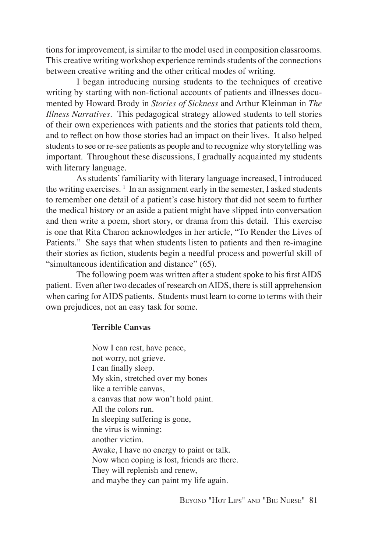tions for improvement, is similar to the model used in composition classrooms. This creative writing workshop experience reminds students of the connections between creative writing and the other critical modes of writing.

I began introducing nursing students to the techniques of creative writing by starting with non-fictional accounts of patients and illnesses documented by Howard Brody in *Stories of Sickness* and Arthur Kleinman in *The Illness Narratives*. This pedagogical strategy allowed students to tell stories of their own experiences with patients and the stories that patients told them, and to reflect on how those stories had an impact on their lives. It also helped students to see or re-see patients as people and to recognize why storytelling was important. Throughout these discussions, I gradually acquainted my students with literary language.

As students' familiarity with literary language increased, I introduced the writing exercises.  $\frac{1}{1}$  In an assignment early in the semester, I asked students to remember one detail of a patient's case history that did not seem to further the medical history or an aside a patient might have slipped into conversation and then write a poem, short story, or drama from this detail. This exercise is one that Rita Charon acknowledges in her article, "To Render the Lives of Patients." She says that when students listen to patients and then re-imagine their stories as fiction, students begin a needful process and powerful skill of "simultaneous identification and distance" (65).

The following poem was written after a student spoke to his first AIDS patient. Even after two decades of research on AIDS, there is still apprehension when caring for AIDS patients. Students must learn to come to terms with their own prejudices, not an easy task for some.

#### **Terrible Canvas**

Now I can rest, have peace, not worry, not grieve. I can finally sleep. My skin, stretched over my bones like a terrible canvas, a canvas that now won't hold paint. All the colors run. In sleeping suffering is gone, the virus is winning; another victim. Awake, I have no energy to paint or talk. Now when coping is lost, friends are there. They will replenish and renew, and maybe they can paint my life again.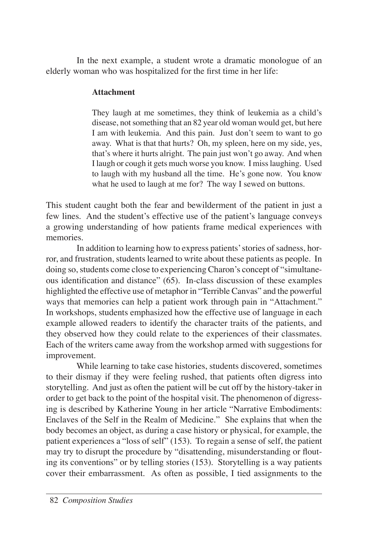In the next example, a student wrote a dramatic monologue of an elderly woman who was hospitalized for the first time in her life:

#### **Attachment**

They laugh at me sometimes, they think of leukemia as a child's disease, not something that an 82 year old woman would get, but here I am with leukemia. And this pain. Just don't seem to want to go away. What is that that hurts? Oh, my spleen, here on my side, yes, that's where it hurts alright. The pain just won't go away. And when I laugh or cough it gets much worse you know. I miss laughing. Used to laugh with my husband all the time. He's gone now. You know what he used to laugh at me for? The way I sewed on buttons.

This student caught both the fear and bewilderment of the patient in just a few lines. And the student's effective use of the patient's language conveys a growing understanding of how patients frame medical experiences with memories.

In addition to learning how to express patients' stories of sadness, horror, and frustration, students learned to write about these patients as people. In doing so, students come close to experiencing Charon's concept of "simultaneous identification and distance" (65). In-class discussion of these examples highlighted the effective use of metaphor in "Terrible Canvas" and the powerful ways that memories can help a patient work through pain in "Attachment." In workshops, students emphasized how the effective use of language in each example allowed readers to identify the character traits of the patients, and they observed how they could relate to the experiences of their classmates. Each of the writers came away from the workshop armed with suggestions for improvement.

While learning to take case histories, students discovered, sometimes to their dismay if they were feeling rushed, that patients often digress into storytelling. And just as often the patient will be cut off by the history-taker in order to get back to the point of the hospital visit. The phenomenon of digressing is described by Katherine Young in her article "Narrative Embodiments: Enclaves of the Self in the Realm of Medicine." She explains that when the body becomes an object, as during a case history or physical, for example, the patient experiences a "loss of self" (153). To regain a sense of self, the patient may try to disrupt the procedure by "disattending, misunderstanding or flouting its conventions" or by telling stories (153). Storytelling is a way patients cover their embarrassment. As often as possible, I tied assignments to the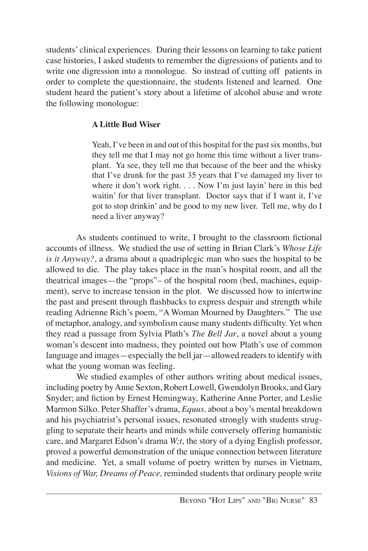students' clinical experiences. During their lessons on learning to take patient case histories, I asked students to remember the digressions of patients and to write one digression into a monologue. So instead of cutting off patients in order to complete the questionnaire, the students listened and learned. One student heard the patient's story about a lifetime of alcohol abuse and wrote the following monologue:

#### **A Little Bud Wiser**

Yeah, I've been in and out of this hospital for the past six months, but they tell me that I may not go home this time without a liver transplant. Ya see, they tell me that because of the beer and the whisky that I've drunk for the past 35 years that I've damaged my liver to where it don't work right. . . . Now I'm just layin' here in this bed waitin' for that liver transplant. Doctor says that if I want it, I've got to stop drinkin' and be good to my new liver. Tell me, why do I need a liver anyway?

As students continued to write, I brought to the classroom fictional accounts of illness. We studied the use of setting in Brian Clark's *Whose Life is it Anyway?*, a drama about a quadriplegic man who sues the hospital to be allowed to die. The play takes place in the man's hospital room, and all the theatrical images—the "props"– of the hospital room (bed, machines, equipment), serve to increase tension in the plot. We discussed how to intertwine the past and present through flashbacks to express despair and strength while reading Adrienne Rich's poem, "A Woman Mourned by Daughters." The use of metaphor, analogy, and symbolism cause many students difficulty. Yet when they read a passage from Sylvia Plath's *The Bell Jar*, a novel about a young woman's descent into madness, they pointed out how Plath's use of common language and images—especially the bell jar—allowed readers to identify with what the young woman was feeling.

We studied examples of other authors writing about medical issues, including poetry by Anne Sexton, Robert Lowell, Gwendolyn Brooks, and Gary Snyder; and fiction by Ernest Hemingway, Katherine Anne Porter, and Leslie Marmon Silko. Peter Shaffer's drama, *Equus,* about a boy's mental breakdown and his psychiatrist's personal issues, resonated strongly with students struggling to separate their hearts and minds while conversely offering humanistic care, and Margaret Edson's drama *W;t*, the story of a dying English professor, proved a powerful demonstration of the unique connection between literature and medicine. Yet, a small volume of poetry written by nurses in Vietnam, *Visions of War, Dreams of Peace,* reminded students that ordinary people write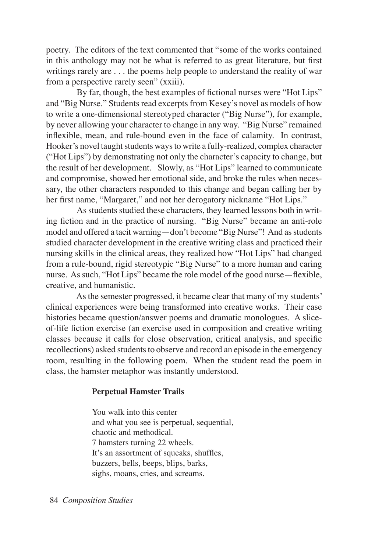poetry. The editors of the text commented that "some of the works contained in this anthology may not be what is referred to as great literature, but first writings rarely are . . . the poems help people to understand the reality of war from a perspective rarely seen" (xxiii).

By far, though, the best examples of fictional nurses were "Hot Lips" and "Big Nurse." Students read excerpts from Kesey's novel as models of how to write a one-dimensional stereotyped character ("Big Nurse"), for example, by never allowing your character to change in any way. "Big Nurse" remained inflexible, mean, and rule-bound even in the face of calamity. In contrast, Hooker's novel taught students ways to write a fully-realized, complex character ("Hot Lips") by demonstrating not only the character's capacity to change, but the result of her development. Slowly, as "Hot Lips" learned to communicate and compromise, showed her emotional side, and broke the rules when necessary, the other characters responded to this change and began calling her by her first name, "Margaret," and not her derogatory nickname "Hot Lips."

As students studied these characters, they learned lessons both in writing fiction and in the practice of nursing. "Big Nurse" became an anti-role model and offered a tacit warning—don't become "Big Nurse"! And as students studied character development in the creative writing class and practiced their nursing skills in the clinical areas, they realized how "Hot Lips" had changed from a rule-bound, rigid stereotypic "Big Nurse" to a more human and caring nurse. As such, "Hot Lips" became the role model of the good nurse—flexible, creative, and humanistic.

As the semester progressed, it became clear that many of my students' clinical experiences were being transformed into creative works. Their case histories became question/answer poems and dramatic monologues. A sliceof-life fiction exercise (an exercise used in composition and creative writing classes because it calls for close observation, critical analysis, and specific recollections) asked students to observe and record an episode in the emergency room, resulting in the following poem. When the student read the poem in class, the hamster metaphor was instantly understood.

#### **Perpetual Hamster Trails**

You walk into this center and what you see is perpetual, sequential, chaotic and methodical. 7 hamsters turning 22 wheels. It's an assortment of squeaks, shuffles, buzzers, bells, beeps, blips, barks, sighs, moans, cries, and screams.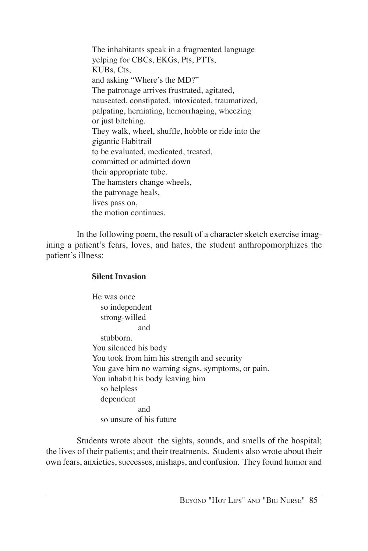The inhabitants speak in a fragmented language yelping for CBCs, EKGs, Pts, PTTs, KUBs, Cts, and asking "Where's the MD?" The patronage arrives frustrated, agitated, nauseated, constipated, intoxicated, traumatized, palpating, herniating, hemorrhaging, wheezing or just bitching. They walk, wheel, shuffle, hobble or ride into the gigantic Habitrail to be evaluated, medicated, treated, committed or admitted down their appropriate tube. The hamsters change wheels, the patronage heals, lives pass on, the motion continues.

In the following poem, the result of a character sketch exercise imagining a patient's fears, loves, and hates, the student anthropomorphizes the patient's illness:

#### **Silent Invasion**

He was once so independent strong-willed and stubborn. You silenced his body You took from him his strength and security You gave him no warning signs, symptoms, or pain. You inhabit his body leaving him so helpless dependent and so unsure of his future

Students wrote about the sights, sounds, and smells of the hospital; the lives of their patients; and their treatments. Students also wrote about their own fears, anxieties, successes, mishaps, and confusion. They found humor and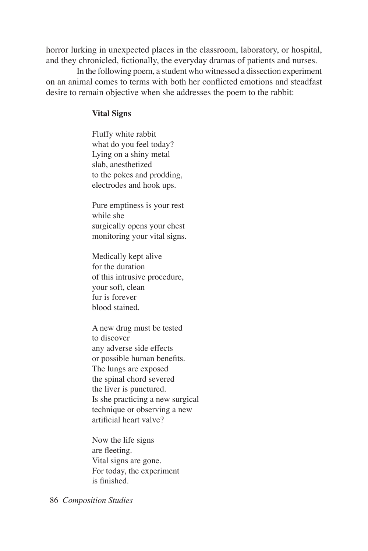horror lurking in unexpected places in the classroom, laboratory, or hospital, and they chronicled, fictionally, the everyday dramas of patients and nurses.

In the following poem, a student who witnessed a dissection experiment on an animal comes to terms with both her conflicted emotions and steadfast desire to remain objective when she addresses the poem to the rabbit:

#### **Vital Signs**

Fluffy white rabbit what do you feel today? Lying on a shiny metal slab, anesthetized to the pokes and prodding, electrodes and hook ups.

Pure emptiness is your rest while she surgically opens your chest monitoring your vital signs.

Medically kept alive for the duration of this intrusive procedure, your soft, clean fur is forever blood stained.

A new drug must be tested to discover any adverse side effects or possible human benefits. The lungs are exposed the spinal chord severed the liver is punctured. Is she practicing a new surgical technique or observing a new artificial heart valve?

Now the life signs are fleeting. Vital signs are gone. For today, the experiment is finished.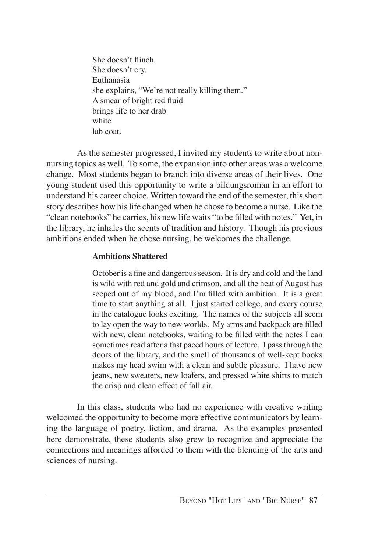She doesn't flinch. She doesn't cry. Euthanasia she explains, "We're not really killing them." A smear of bright red fluid brings life to her drab white lab coat.

As the semester progressed, I invited my students to write about nonnursing topics as well. To some, the expansion into other areas was a welcome change. Most students began to branch into diverse areas of their lives. One young student used this opportunity to write a bildungsroman in an effort to understand his career choice. Written toward the end of the semester, this short story describes how his life changed when he chose to become a nurse. Like the "clean notebooks" he carries, his new life waits "to be filled with notes." Yet, in the library, he inhales the scents of tradition and history. Though his previous ambitions ended when he chose nursing, he welcomes the challenge.

#### **Ambitions Shattered**

October is a fine and dangerous season. It is dry and cold and the land is wild with red and gold and crimson, and all the heat of August has seeped out of my blood, and I'm filled with ambition. It is a great time to start anything at all. I just started college, and every course in the catalogue looks exciting. The names of the subjects all seem to lay open the way to new worlds. My arms and backpack are filled with new, clean notebooks, waiting to be filled with the notes I can sometimes read after a fast paced hours of lecture. I pass through the doors of the library, and the smell of thousands of well-kept books makes my head swim with a clean and subtle pleasure. I have new jeans, new sweaters, new loafers, and pressed white shirts to match the crisp and clean effect of fall air.

In this class, students who had no experience with creative writing welcomed the opportunity to become more effective communicators by learning the language of poetry, fiction, and drama. As the examples presented here demonstrate, these students also grew to recognize and appreciate the connections and meanings afforded to them with the blending of the arts and sciences of nursing.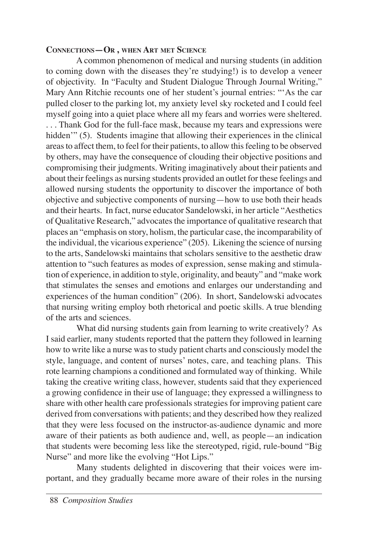#### **CONNECTIONS—OR , WHEN ART MET SCIENCE**

A common phenomenon of medical and nursing students (in addition to coming down with the diseases they're studying!) is to develop a veneer of objectivity. In "Faculty and Student Dialogue Through Journal Writing," Mary Ann Ritchie recounts one of her student's journal entries: "'As the car pulled closer to the parking lot, my anxiety level sky rocketed and I could feel myself going into a quiet place where all my fears and worries were sheltered. . . . Thank God for the full-face mask, because my tears and expressions were hidden'" (5). Students imagine that allowing their experiences in the clinical areas to affect them, to feel for their patients, to allow this feeling to be observed by others, may have the consequence of clouding their objective positions and compromising their judgments. Writing imaginatively about their patients and about their feelings as nursing students provided an outlet for these feelings and allowed nursing students the opportunity to discover the importance of both objective and subjective components of nursing—how to use both their heads and their hearts. In fact, nurse educator Sandelowski, in her article "Aesthetics of Qualitative Research," advocates the importance of qualitative research that places an "emphasis on story, holism, the particular case, the incomparability of the individual, the vicarious experience" (205). Likening the science of nursing to the arts, Sandelowski maintains that scholars sensitive to the aesthetic draw attention to "such features as modes of expression, sense making and stimulation of experience, in addition to style, originality, and beauty" and "make work that stimulates the senses and emotions and enlarges our understanding and experiences of the human condition" (206). In short, Sandelowski advocates that nursing writing employ both rhetorical and poetic skills. A true blending of the arts and sciences.

What did nursing students gain from learning to write creatively? As I said earlier, many students reported that the pattern they followed in learning how to write like a nurse was to study patient charts and consciously model the style, language, and content of nurses' notes, care, and teaching plans. This rote learning champions a conditioned and formulated way of thinking. While taking the creative writing class, however, students said that they experienced a growing confidence in their use of language; they expressed a willingness to share with other health care professionals strategies for improving patient care derived from conversations with patients; and they described how they realized that they were less focused on the instructor-as-audience dynamic and more aware of their patients as both audience and, well, as people—an indication that students were becoming less like the stereotyped, rigid, rule-bound "Big Nurse" and more like the evolving "Hot Lips."

Many students delighted in discovering that their voices were important, and they gradually became more aware of their roles in the nursing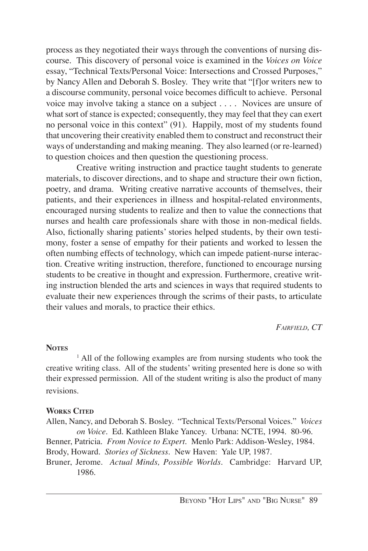process as they negotiated their ways through the conventions of nursing discourse. This discovery of personal voice is examined in the *Voices on Voice* essay, "Technical Texts/Personal Voice: Intersections and Crossed Purposes," by Nancy Allen and Deborah S. Bosley. They write that "[f]or writers new to a discourse community, personal voice becomes difficult to achieve. Personal voice may involve taking a stance on a subject . . . . Novices are unsure of what sort of stance is expected; consequently, they may feel that they can exert no personal voice in this context" (91). Happily, most of my students found that uncovering their creativity enabled them to construct and reconstruct their ways of understanding and making meaning. They also learned (or re-learned) to question choices and then question the questioning process.

Creative writing instruction and practice taught students to generate materials, to discover directions, and to shape and structure their own fiction, poetry, and drama. Writing creative narrative accounts of themselves, their patients, and their experiences in illness and hospital-related environments, encouraged nursing students to realize and then to value the connections that nurses and health care professionals share with those in non-medical fields. Also, fictionally sharing patients' stories helped students, by their own testimony, foster a sense of empathy for their patients and worked to lessen the often numbing effects of technology, which can impede patient-nurse interaction. Creative writing instruction, therefore, functioned to encourage nursing students to be creative in thought and expression. Furthermore, creative writing instruction blended the arts and sciences in ways that required students to evaluate their new experiences through the scrims of their pasts, to articulate their values and morals, to practice their ethics.

*FAIRFIELD, CT*

#### **NOTES**

<sup>1</sup> All of the following examples are from nursing students who took the creative writing class. All of the students' writing presented here is done so with their expressed permission. All of the student writing is also the product of many revisions.

#### **WORKS CITED**

Allen, Nancy, and Deborah S. Bosley. "Technical Texts/Personal Voices." *Voices on Voice*.Ed. Kathleen Blake Yancey. Urbana: NCTE, 1994. 80-96.

Benner, Patricia. *From Novice to Expert*. Menlo Park: Addison-Wesley, 1984. Brody, Howard. *Stories of Sickness*. New Haven: Yale UP, 1987.

Bruner, Jerome. *Actual Minds, Possible Worlds*. Cambridge: Harvard UP, 1986.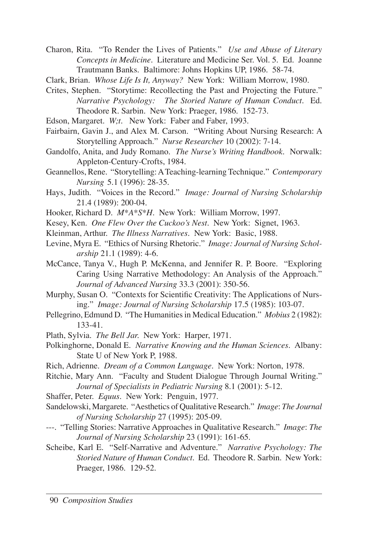Charon, Rita. "To Render the Lives of Patients." *Use and Abuse of Literary Concepts in Medicine*. Literature and Medicine Ser. Vol. 5. Ed. Joanne Trautmann Banks. Baltimore: Johns Hopkins UP, 1986. 58-74.

Clark, Brian. *Whose Life Is It, Anyway?* New York: William Morrow, 1980.

- Crites, Stephen. "Storytime: Recollecting the Past and Projecting the Future." *Narrative Psychology: The Storied Nature of Human Conduct*. Ed. Theodore R. Sarbin. New York: Praeger, 1986. 152-73.
- Edson, Margaret. *W;t*. New York: Faber and Faber, 1993.
- Fairbairn, Gavin J., and Alex M. Carson. "Writing About Nursing Research: A Storytelling Approach." *Nurse Researcher* 10 (2002): 7-14.
- Gandolfo, Anita, and Judy Romano. *The Nurse's Writing Handbook*. Norwalk: Appleton-Century-Crofts, 1984.
- Geannellos, Rene. "Storytelling: A Teaching-learning Technique." *Contemporary Nursing* 5.1 (1996): 28-35.
- Hays, Judith. "Voices in the Record." *Image: Journal of Nursing Scholarship* 21.4 (1989): 200-04.
- Hooker, Richard D. *M\*A\*S\*H.* New York: William Morrow, 1997.
- Kesey, Ken. *One Flew Over the Cuckoo's Nest.* New York: Signet, 1963.
- Kleinman, Arthur. *The Illness Narratives*. New York: Basic, 1988.
- Levine, Myra E. "Ethics of Nursing Rhetoric." *Image: Journal of Nursing Scholarship* 21.1 (1989): 4-6.
- McCance, Tanya V., Hugh P. McKenna, and Jennifer R. P. Boore. "Exploring Caring Using Narrative Methodology: An Analysis of the Approach." *Journal of Advanced Nursing* 33.3 (2001): 350-56.
- Murphy, Susan O. "Contexts for Scientific Creativity: The Applications of Nursing." *Image: Journal of Nursing Scholarship* 17.5 (1985): 103-07.
- Pellegrino, Edmund D. "The Humanities in Medical Education." *Mobius* 2 (1982): 133-41.
- Plath, Sylvia. *The Bell Jar.* New York: Harper, 1971.
- Polkinghorne, Donald E. *Narrative Knowing and the Human Sciences.* Albany: State U of New York P, 1988.
- Rich, Adrienne. *Dream of a Common Language*. New York: Norton, 1978.
- Ritchie, Mary Ann. "Faculty and Student Dialogue Through Journal Writing." *Journal of Specialists in Pediatric Nursing* 8.1 (2001): 5-12.
- Shaffer, Peter. *Equus*. New York: Penguin, 1977.
- Sandelowski, Margarete. "Aesthetics of Qualitative Research." *Image*: *The Journal of Nursing Scholarship* 27 (1995): 205-09.
- ---. "Telling Stories: Narrative Approaches in Qualitative Research." *Image*: *The Journal of Nursing Scholarship* 23 (1991): 161-65.
- Scheibe, Karl E. "Self-Narrative and Adventure." *Narrative Psychology: The Storied Nature of Human Conduct*. Ed. Theodore R. Sarbin. New York: Praeger, 1986. 129-52.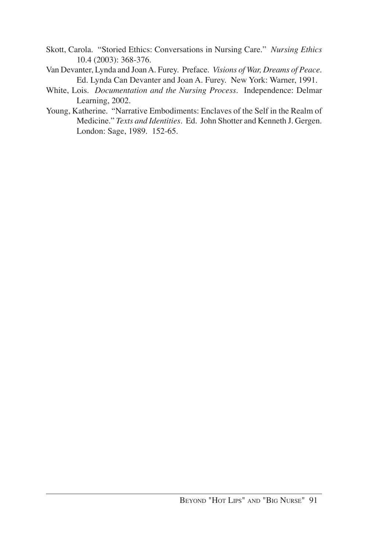- Skott, Carola. "Storied Ethics: Conversations in Nursing Care." *Nursing Ethics* 10.4 (2003): 368-376.
- Van Devanter, Lynda and Joan A. Furey. Preface. *Visions of War, Dreams of Peace*. Ed. Lynda Can Devanter and Joan A. Furey. New York: Warner, 1991.
- White, Lois. *Documentation and the Nursing Process*. Independence: Delmar Learning, 2002.
- Young, Katherine. "Narrative Embodiments: Enclaves of the Self in the Realm of Medicine." *Texts and Identities*. Ed. John Shotter and Kenneth J. Gergen. London: Sage, 1989. 152-65.